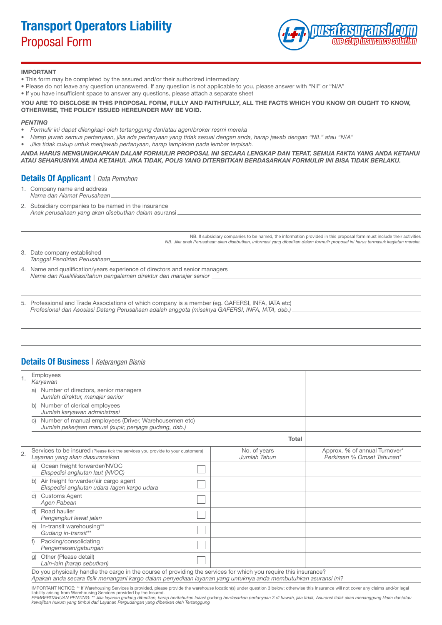# Transport Operators Liability Proposal Form



#### IMPORTANT

- This form may be completed by the assured and/or their authorized intermediary
- Please do not leave any question unanswered. If any question is not applicable to you, please answer with "Nil" or "N/A"
- If you have insufficient space to answer any questions, please attach a separate sheet

#### YOU ARE TO DISCLOSE IN THIS PROPOSAL FORM, FULLY AND FAITHFULLY, ALL THE FACTS WHICH YOU KNOW OR OUGHT TO KNOW, OTHERWISE, THE POLICY ISSUED HEREUNDER MAY BE VOID.

#### *PENTING*

- *• Formulir ini dapat dilengkapi oleh tertanggung dan/atau agen/broker resmi mereka*
- *• Harap jawab semua pertanyaan, jika ada pertanyaan yang tidak sesuai dengan anda, harap jawab dengan "NIL" atau "N/A"*
- *• Jika tidak cukup untuk menjawab pertanyaan, harap lampirkan pada lembar terpisah.*

*ANDA HARUS MENGUNGKAPKAN DALAM FORMULIR PROPOSAL INI SECARA LENGKAP DAN TEPAT, SEMUA FAKTA YANG ANDA KETAHUI ATAU SEHARUSNYA ANDA KETAHUI. JIKA TIDAK, POLIS YANG DITERBITKAN BERDASARKAN FORMULIR INI BISA TIDAK BERLAKU.*

### Details Of Applicant | *Data Pemohon*

- 1. Company name and address *Nama dan Alamat Perusahaan*
- 2. Subsidiary companies to be named in the insurance *Anak perusahaan yang akan disebutkan dalam* asuransi

NB. If subsidiary companies to be named, the information provided in this proposal form must include their activities *NB. Jika anak Perusahaan akan disebutkan, informasi yang diberikan dalam formulir proposal ini harus termasuk kegiatan mereka.*

| 3. | Date company established     |
|----|------------------------------|
|    | Tanggal Pendirian Perusahaan |

- 4. Name and qualification/years experience of directors and senior managers *Nama dan Kualifikasi/tahun pengalaman direktur dan manajer senior*
- 5. Professional and Trade Associations of which company is a member (eg. GAFERSI, INFA, IATA etc) *Profesional dan Asosiasi Datang Perusahaan adalah anggota (misalnya GAFERSI, INFA, IATA, dsb.)*

#### Details Of Business | *Keterangan Bisnis*

|    | Employees<br>Karyawan                                                                                                           |                              |                                                             |  |  |
|----|---------------------------------------------------------------------------------------------------------------------------------|------------------------------|-------------------------------------------------------------|--|--|
|    | Number of directors, senior managers<br>a)<br>Jumlah direktur, manajer senior                                                   |                              |                                                             |  |  |
|    | Number of clerical employees<br>b)<br>Jumlah karyawan administrasi                                                              |                              |                                                             |  |  |
|    | Number of manual employees (Driver, Warehousemen etc)<br>$\mathcal{C}$<br>Jumlah pekerjaan manual (supir, penjaga gudang, dsb.) |                              |                                                             |  |  |
|    |                                                                                                                                 | <b>Total</b>                 |                                                             |  |  |
| 2. | Services to be insured (Please tick the services you provide to your customers)<br>Layanan yang akan diasuransikan              | No. of years<br>Jumlah Tahun | Approx. % of annual Turnover*<br>Perkiraan % Omset Tahunan* |  |  |
|    | Ocean freight forwarder/NVOC<br>a)<br>Ekspedisi angkutan laut (NVOC)                                                            |                              |                                                             |  |  |
|    | Air freight forwarder/air cargo agent<br>b)<br>Ekspedisi angkutan udara /agen kargo udara                                       |                              |                                                             |  |  |
|    | <b>Customs Agent</b><br>C)<br>Agen Pabean                                                                                       |                              |                                                             |  |  |
|    | Road haulier<br>d)<br>Pengangkut lewat jalan                                                                                    |                              |                                                             |  |  |
|    | In-transit warehousing**<br>e)<br>Gudang in-transit**                                                                           |                              |                                                             |  |  |
|    | Packing/consolidating<br>Pengemasan/gabungan                                                                                    |                              |                                                             |  |  |
|    | Other (Please detail)<br>g)<br>Lain-lain (harap sebutkan)                                                                       |                              |                                                             |  |  |
|    | Do you physically handle the cargo in the course of providing the services for which you require this insurance?                |                              |                                                             |  |  |

*Apakah anda secara fisik menangani kargo dalam penyediaan layanan yang untuknya anda membutuhkan asuransi ini?*

IMPORTANT NOTICE: \*\* If Warehousing Services is provided, please provide the warehouse location(s) under question 3 below; otherwise this Insurance will not cover any claims and/or legal<br>ilability arising from Warehousing

*kewajiban hukum yang timbul dari Layanan Pergudangan yang diberikan oleh Tertanggung*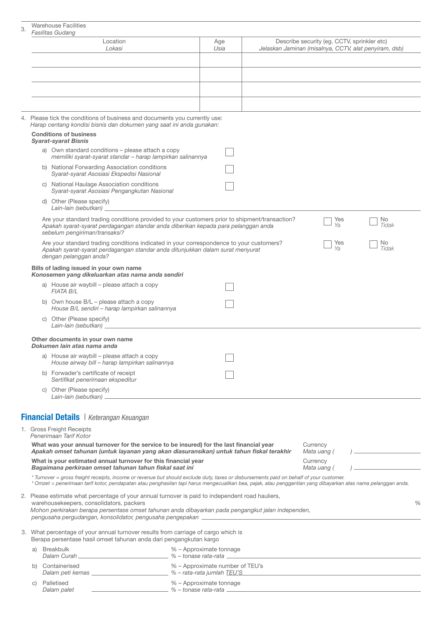## Warehouse Facilities

|                                                                                                                                                                                                                                                         | Fasilitas Gudang                                                                                                                                                                                                      |                                 |  |                                                                                                                                                               |  |  |
|---------------------------------------------------------------------------------------------------------------------------------------------------------------------------------------------------------------------------------------------------------|-----------------------------------------------------------------------------------------------------------------------------------------------------------------------------------------------------------------------|---------------------------------|--|---------------------------------------------------------------------------------------------------------------------------------------------------------------|--|--|
|                                                                                                                                                                                                                                                         | Location<br>Lokasi                                                                                                                                                                                                    | Age<br>Usia                     |  | Describe security (eg. CCTV, sprinkler etc)<br>Jelaskan Jaminan (misalnya, CCTV, alat penyiram, dsb)                                                          |  |  |
|                                                                                                                                                                                                                                                         |                                                                                                                                                                                                                       |                                 |  |                                                                                                                                                               |  |  |
|                                                                                                                                                                                                                                                         |                                                                                                                                                                                                                       |                                 |  |                                                                                                                                                               |  |  |
|                                                                                                                                                                                                                                                         |                                                                                                                                                                                                                       |                                 |  |                                                                                                                                                               |  |  |
|                                                                                                                                                                                                                                                         |                                                                                                                                                                                                                       |                                 |  |                                                                                                                                                               |  |  |
|                                                                                                                                                                                                                                                         | 4. Please tick the conditions of business and documents you currently use:<br>Harap centang kondisi bisnis dan dokumen yang saat ini anda gunakan:                                                                    |                                 |  |                                                                                                                                                               |  |  |
|                                                                                                                                                                                                                                                         | <b>Conditions of business</b><br><b>Syarat-syarat Bisnis</b>                                                                                                                                                          |                                 |  |                                                                                                                                                               |  |  |
|                                                                                                                                                                                                                                                         | a) Own standard conditions - please attach a copy                                                                                                                                                                     |                                 |  |                                                                                                                                                               |  |  |
|                                                                                                                                                                                                                                                         | memiliki syarat-syarat standar - harap lampirkan salinannya<br>b) National Forwarding Association conditions<br>Syarat-syarat Asosiasi Ekspedisi Nasional                                                             |                                 |  |                                                                                                                                                               |  |  |
|                                                                                                                                                                                                                                                         | c) National Haulage Association conditions<br>Syarat-syarat Asosiasi Pengangkutan Nasional                                                                                                                            |                                 |  |                                                                                                                                                               |  |  |
|                                                                                                                                                                                                                                                         | d) Other (Please specify)<br>Lain-lain (sebutkan) __                                                                                                                                                                  |                                 |  |                                                                                                                                                               |  |  |
|                                                                                                                                                                                                                                                         | Are your standard trading conditions provided to your customers prior to shipment/transaction?<br>Apakah syarat-syarat perdagangan standar anda diberikan kepada para pelanggan anda<br>sebelum pengiriman/transaksi? |                                 |  | Yes<br>No.<br>Ya<br>Tidak                                                                                                                                     |  |  |
|                                                                                                                                                                                                                                                         | Are your standard trading conditions indicated in your correspondence to your customers?<br>Apakah syarat-syarat perdagangan standar anda ditunjukkan dalam surat menyurat<br>dengan pelanggan anda?                  |                                 |  | Yes<br>No<br>Ya<br>Tidak                                                                                                                                      |  |  |
|                                                                                                                                                                                                                                                         | Bills of lading issued in your own name<br>Konosemen yang dikeluarkan atas nama anda sendiri                                                                                                                          |                                 |  |                                                                                                                                                               |  |  |
|                                                                                                                                                                                                                                                         | a) House air waybill - please attach a copy<br><b>FIATA BIL</b>                                                                                                                                                       |                                 |  |                                                                                                                                                               |  |  |
|                                                                                                                                                                                                                                                         | b) Own house $B/L$ – please attach a copy<br>House B/L sendiri - harap lampirkan salinannya                                                                                                                           |                                 |  |                                                                                                                                                               |  |  |
|                                                                                                                                                                                                                                                         | c) Other (Please specify)<br>Lain-lain (sebutkan) _                                                                                                                                                                   |                                 |  |                                                                                                                                                               |  |  |
|                                                                                                                                                                                                                                                         | Other documents in your own name<br>Dokumen lain atas nama anda                                                                                                                                                       |                                 |  |                                                                                                                                                               |  |  |
|                                                                                                                                                                                                                                                         | a) House air waybill - please attach a copy<br>House airway bill - harap lampirkan salinannya                                                                                                                         |                                 |  |                                                                                                                                                               |  |  |
|                                                                                                                                                                                                                                                         | b) Forwader's certificate of receipt<br>Sertifikat penerimaan ekspeditur                                                                                                                                              |                                 |  |                                                                                                                                                               |  |  |
|                                                                                                                                                                                                                                                         | c) Other (Please specify)                                                                                                                                                                                             |                                 |  |                                                                                                                                                               |  |  |
|                                                                                                                                                                                                                                                         | <b>Financial Details</b>   Keterangan Keuangan                                                                                                                                                                        |                                 |  |                                                                                                                                                               |  |  |
|                                                                                                                                                                                                                                                         | 1. Gross Freight Receipts                                                                                                                                                                                             |                                 |  |                                                                                                                                                               |  |  |
| Penerimaan Tarif Kotor<br>What was your annual turnover for the service to be insured) for the last financial year<br>Currency<br>Apakah omset tahunan (untuk layanan yang akan diasuransikan) untuk tahun fiskal terakhir<br>Mata uang (               |                                                                                                                                                                                                                       |                                 |  |                                                                                                                                                               |  |  |
|                                                                                                                                                                                                                                                         | What is your estimated annual turnover for this financial year<br>Bagaimana perkiraan omset tahunan tahun fiskal saat ini                                                                                             | Currency<br>Mata uang (         |  |                                                                                                                                                               |  |  |
|                                                                                                                                                                                                                                                         | * Turnover = gross freight receipts, income or revenue but should exclude duty, taxes or disbursements paid on behalf of your customer.                                                                               |                                 |  | * Omzet = penerimaan tarif kotor, pendapatan atau penghasilan tapi harus mengecualikan bea, pajak, atau penggantian yang dibayarkan atas nama pelanggan anda. |  |  |
| 2. Please estimate what percentage of your annual turnover is paid to independent road hauliers,<br>warehousekeepers, consolidators, packers<br>%<br>Mohon perkirakan berapa persentase omset tahunan anda dibayarkan pada pengangkut jalan independen, |                                                                                                                                                                                                                       |                                 |  |                                                                                                                                                               |  |  |
|                                                                                                                                                                                                                                                         | 3. What percentage of your annual turnover results from carriage of cargo which is<br>Berapa persentase hasil omset tahunan anda dari pengangkutan kargo                                                              |                                 |  |                                                                                                                                                               |  |  |
| a)                                                                                                                                                                                                                                                      | <b>Breakbulk</b>                                                                                                                                                                                                      | % - Approximate tonnage         |  |                                                                                                                                                               |  |  |
| b)                                                                                                                                                                                                                                                      | Containerised<br>Dalam peti kemas ____________________________ % - rata-rata jumlah TEU'S                                                                                                                             | % - Approximate number of TEU's |  |                                                                                                                                                               |  |  |
| C)                                                                                                                                                                                                                                                      | Palletised<br>Dalam palet                                                                                                                                                                                             | % - Approximate tonnage         |  |                                                                                                                                                               |  |  |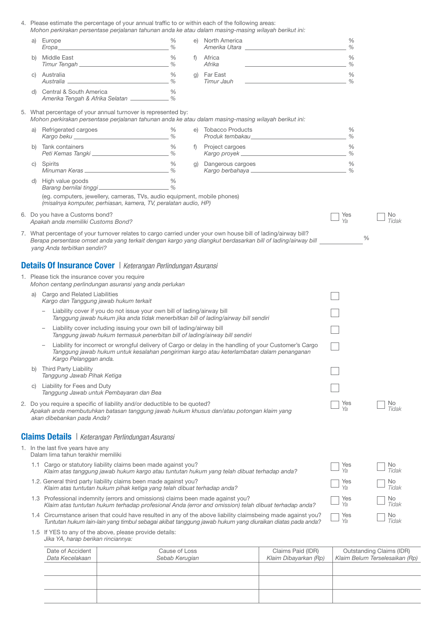|                                                                                                                                                                                                                                                                               | 4. Please estimate the percentage of your annual traffic to or within each of the following areas:<br>Mohon perkirakan persentase perjalanan tahunan anda ke atau dalam masing-masing wilayah berikut ini: |               |  |                                                                                                                                                                                                                           |                       |              |
|-------------------------------------------------------------------------------------------------------------------------------------------------------------------------------------------------------------------------------------------------------------------------------|------------------------------------------------------------------------------------------------------------------------------------------------------------------------------------------------------------|---------------|--|---------------------------------------------------------------------------------------------------------------------------------------------------------------------------------------------------------------------------|-----------------------|--------------|
|                                                                                                                                                                                                                                                                               | a) Europe                                                                                                                                                                                                  | %             |  | e) North America                                                                                                                                                                                                          | $\%$<br>$\%$          |              |
| b)                                                                                                                                                                                                                                                                            | Middle East                                                                                                                                                                                                | %             |  | f) Africa<br><u> 1980 - John Stein, Amerikaansk politiker (</u><br>Afrika                                                                                                                                                 | $\frac{0}{0}$<br>$\%$ |              |
| C)                                                                                                                                                                                                                                                                            | Australia<br>Australia 2014<br>Australia 2014 - Australia 2014                                                                                                                                             | $\%$          |  | g) Far East<br>⊢ar ∟ast<br><i>Timur Jauh</i><br><u> 1989 - Johann Barbara, martin a</u>                                                                                                                                   | $\%$<br>$\%$          |              |
|                                                                                                                                                                                                                                                                               | d) Central & South America<br>Amerika Tengah & Afrika Selatan ___________ %                                                                                                                                | $\frac{0}{0}$ |  |                                                                                                                                                                                                                           |                       |              |
|                                                                                                                                                                                                                                                                               | 5. What percentage of your annual turnover is represented by:<br>Mohon perkirakan persentase perjalanan tahunan anda ke atau dalam masing-masing wilayah berikut ini:                                      |               |  |                                                                                                                                                                                                                           |                       |              |
|                                                                                                                                                                                                                                                                               | a) Refrigerated cargoes<br>Kargo beku ___________________________________%                                                                                                                                 | $\%$          |  | e) Tobacco Products<br>Tobacco Products<br>Produk tembakau______________________________                                                                                                                                  | $\%$<br>$\%$          |              |
| b)                                                                                                                                                                                                                                                                            | Tank containers<br>Peti Kemas Tangki _______________________________%                                                                                                                                      | %             |  | f) Project cargoes                                                                                                                                                                                                        | $\%$                  |              |
| C)                                                                                                                                                                                                                                                                            | Spirits<br><u>Minuman Keras _____________________________</u> %                                                                                                                                            | $\%$          |  | g) Dangerous cargoes<br><u> Kargo berbahaya __________________________</u> ____                                                                                                                                           | $\frac{0}{0}$<br>$\%$ |              |
|                                                                                                                                                                                                                                                                               | d) High value goods<br>Barang bernilai tinggi                                                                                                                                                              | $\%$          |  |                                                                                                                                                                                                                           |                       |              |
|                                                                                                                                                                                                                                                                               | (eg. computers, jewellery, cameras, TVs, audio equipment, mobile phones)<br>(misalnya komputer, perhiasan, kamera, TV, peralatan audio, HP)                                                                |               |  |                                                                                                                                                                                                                           |                       |              |
|                                                                                                                                                                                                                                                                               | 6. Do you have a Customs bond?<br>Apakah anda memiliki Customs Bond?                                                                                                                                       |               |  |                                                                                                                                                                                                                           | Yes<br>Ya             | No.<br>Tidak |
| 7. What percentage of your turnover relates to cargo carried under your own house bill of lading/airway bill?<br>$\frac{0}{0}$<br>Berapa persentase omset anda yang terkait dengan kargo yang diangkut berdasarkan bill of lading/airway bill<br>yang Anda terbitkan sendiri? |                                                                                                                                                                                                            |               |  |                                                                                                                                                                                                                           |                       |              |
|                                                                                                                                                                                                                                                                               | <b>Details Of Insurance Cover</b>   Keterangan Perlindungan Asuransi                                                                                                                                       |               |  |                                                                                                                                                                                                                           |                       |              |
|                                                                                                                                                                                                                                                                               | 1. Please tick the insurance cover you require<br>Mohon centang perlindungan asuransi yang anda perlukan                                                                                                   |               |  |                                                                                                                                                                                                                           |                       |              |
| a)                                                                                                                                                                                                                                                                            | Cargo and Related Liabilities<br>Kargo dan Tanggung jawab hukum terkait                                                                                                                                    |               |  |                                                                                                                                                                                                                           |                       |              |
|                                                                                                                                                                                                                                                                               | Liability cover if you do not issue your own bill of lading/airway bill<br>Tanggung jawab hukum jika anda tidak menerbitkan bill of lading/airway bill sendiri                                             |               |  |                                                                                                                                                                                                                           |                       |              |
|                                                                                                                                                                                                                                                                               | Liability cover including issuing your own bill of lading/airway bill<br>Tanggung jawab hukum termasuk penerbitan bill of lading/airway bill sendiri                                                       |               |  |                                                                                                                                                                                                                           |                       |              |
|                                                                                                                                                                                                                                                                               | Kargo Pelanggan anda.                                                                                                                                                                                      |               |  | Liability for incorrect or wrongful delivery of Cargo or delay in the handling of your Customer's Cargo<br>Tanggung jawab hukum untuk kesalahan pengiriman kargo atau keterlambatan dalam penanganan                      |                       |              |
| b)                                                                                                                                                                                                                                                                            | <b>Third Party Liability</b><br>Tanggung Jawab Pihak Ketiga                                                                                                                                                |               |  |                                                                                                                                                                                                                           |                       |              |
| C)                                                                                                                                                                                                                                                                            | Liability for Fees and Duty<br>Tanggung Jawab untuk Pembayaran dan Bea                                                                                                                                     |               |  |                                                                                                                                                                                                                           |                       |              |
| No.<br>2. Do you require a specific of liability and/or deductible to be quoted?<br>Yes<br>Ya<br>Tidak<br>Apakah anda membutuhkan batasan tanggung jawab hukum khusus dan/atau potongan klaim yang<br>akan dibebankan pada Anda?                                              |                                                                                                                                                                                                            |               |  |                                                                                                                                                                                                                           |                       |              |
|                                                                                                                                                                                                                                                                               | <b>Claims Details</b>   Keterangan Perlindungan Asuransi                                                                                                                                                   |               |  |                                                                                                                                                                                                                           |                       |              |
|                                                                                                                                                                                                                                                                               | 1. In the last five years have any<br>Dalam lima tahun terakhir memiliki                                                                                                                                   |               |  |                                                                                                                                                                                                                           |                       |              |
|                                                                                                                                                                                                                                                                               | 1.1 Cargo or statutory liability claims been made against you?<br>Klaim atas tanggung jawab hukum kargo atau tuntutan hukum yang telah dibuat terhadap anda?                                               |               |  |                                                                                                                                                                                                                           | Yes<br>Ya             | No.<br>Tidak |
|                                                                                                                                                                                                                                                                               | 1.2. General third party liability claims been made against you?<br>Klaim atas tuntutan hukum pihak ketiga yang telah dibuat terhadap anda?                                                                |               |  |                                                                                                                                                                                                                           | Yes<br>Ya             | No<br>Tidak  |
|                                                                                                                                                                                                                                                                               | 1.3 Professional indemnity (errors and omissions) claims been made against you?                                                                                                                            |               |  | Klaim atas tuntutan hukum terhadap profesional Anda (error and omission) telah dibuat terhadap anda?                                                                                                                      | Yes<br>Ya             | No.<br>Tidak |
|                                                                                                                                                                                                                                                                               |                                                                                                                                                                                                            |               |  | 1.4 Circumstance arisen that could have resulted in any of the above liability claimsbeing made against you?<br>Tuntutan hukum lain-lain yang timbul sebagai akibat tanggung jawab hukum yang diuraikan diatas pada anda? | Yes<br>Ya             | No.<br>Tidak |
|                                                                                                                                                                                                                                                                               | 1.5 If YES to any of the above, please provide details:<br>Jika YA, harap berikan rinciannya:                                                                                                              |               |  |                                                                                                                                                                                                                           |                       |              |
|                                                                                                                                                                                                                                                                               |                                                                                                                                                                                                            |               |  |                                                                                                                                                                                                                           |                       |              |

| Date of Accident<br>Data Kecelakaan | Cause of Loss<br>Sebab Kerugian | Claims Paid (IDR)<br>Klaim Dibayarkan (Rp) | Outstanding Claims (IDR)<br>Klaim Belum Terselesaikan (Rp) |
|-------------------------------------|---------------------------------|--------------------------------------------|------------------------------------------------------------|
|                                     |                                 |                                            |                                                            |
|                                     |                                 |                                            |                                                            |
|                                     |                                 |                                            |                                                            |